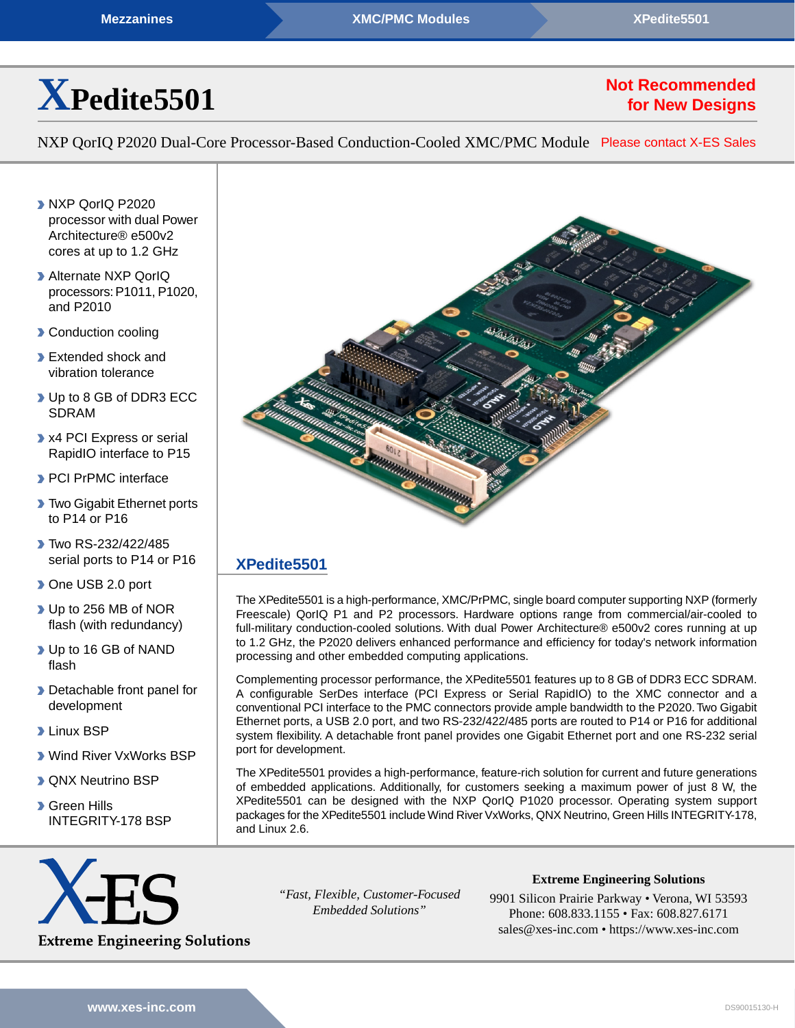

# **Not Recommended for New Designs**

NXP QorIQ P2020 Dual-Core Processor-Based Conduction-Cooled XMC/PMC Module [Please contact X-ES Sales](https://www.xes-inc.com/about/contact/?utm_source=dynamic&utm_medium=referral&utm_term=XPedite5501&utm_content=NRND&utm_campaign=Datasheet)

- **NXP QorIQ P2020** processor with dual Power Architecture® e500v2 cores at up to 1.2 GHz
- Alternate NXP QorIQ processors: P1011, P1020, and P2010
- **Conduction cooling**
- **Extended shock and** vibration tolerance
- Up to 8 GB of DDR3 ECC SDRAM
- **X4 PCI Express or serial** RapidIO interface to P15
- **PCI PrPMC interface**
- **Two Gigabit Ethernet ports** to P14 or P16
- Two RS-232/422/485 serial ports to P14 or P16
- ▶ One USB 2.0 port
- ▶ Up to 256 MB of NOR flash (with redundancy)
- Up to 16 GB of NAND flash
- **Detachable front panel for** development
- **Linux BSP**
- Wind River VxWorks BSP
- **D** QNX Neutrino BSP
- **Green Hills** INTEGRITY-178 BSP



## **[XPedite5501](https://www.xes-inc.com/products/processor-mezzanines/xpedite5501/?utm_source=dynamic&utm_medium=referral&utm_term=XPedite5501&utm_content=Description%20Title&utm_campaign=Datasheet)**

The XPedite5501 is a high-performance, XMC/PrPMC, single board computer supporting NXP (formerly Freescale) QorIQ P1 and P2 processors. Hardware options range from commercial/air-cooled to full-military conduction-cooled solutions. With dual Power Architecture® e500v2 cores running at up to 1.2 GHz, the P2020 delivers enhanced performance and efficiency for today's network information processing and other embedded computing applications.

Complementing processor performance, the XPedite5501 features up to 8 GB of DDR3 ECC SDRAM. A configurable SerDes interface (PCI Express or Serial RapidIO) to the XMC connector and a conventional PCI interface to the PMC connectors provide ample bandwidth to the P2020.Two Gigabit Ethernet ports, a USB 2.0 port, and two RS-232/422/485 ports are routed to P14 or P16 for additional system flexibility. A detachable front panel provides one Gigabit Ethernet port and one RS-232 serial port for development.

The XPedite5501 provides a high-performance, feature-rich solution for current and future generations of embedded applications. Additionally, for customers seeking a maximum power of just 8 W, the XPedite5501 can be designed with the NXP QorIQ P1020 processor. Operating system support packages for the XPedite5501 include Wind River VxWorks, QNX Neutrino, Green Hills INTEGRITY-178, and Linux 2.6.



*"Fast, Flexible, Customer-Focused Embedded Solutions"*

**Extreme Engineering Solutions**

9901 Silicon Prairie Parkway • Verona, WI 53593 Phone: 608.833.1155 • Fax: 608.827.6171 sales@xes-inc.com • <https://www.xes-inc.com>